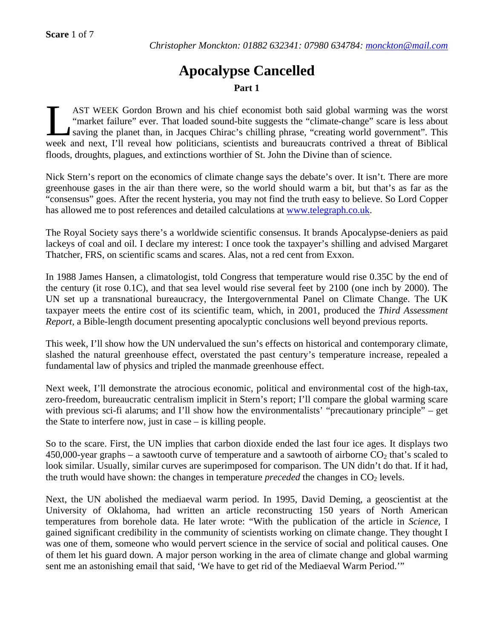# **Apocalypse Cancelled Part 1**

AST WEEK Gordon Brown and his chief economist both said global warming was the worst "market failure" ever. That loaded sound-bite suggests the "climate-change" scare is less about saving the planet than, in Jacques Chirac's chilling phrase, "creating world government". This AST WEEK Gordon Brown and his chief economist both said global warming was the worst "market failure" ever. That loaded sound-bite suggests the "climate-change" scare is less about saving the planet than, in Jacques Chirac floods, droughts, plagues, and extinctions worthier of St. John the Divine than of science.

Nick Stern's report on the economics of climate change says the debate's over. It isn't. There are more greenhouse gases in the air than there were, so the world should warm a bit, but that's as far as the "consensus" goes. After the recent hysteria, you may not find the truth easy to believe. So Lord Copper has allowed me to post references and detailed calculations at www.telegraph.co.uk.

The Royal Society says there's a worldwide scientific consensus. It brands Apocalypse-deniers as paid lackeys of coal and oil. I declare my interest: I once took the taxpayer's shilling and advised Margaret Thatcher, FRS, on scientific scams and scares. Alas, not a red cent from Exxon.

In 1988 James Hansen, a climatologist, told Congress that temperature would rise 0.35C by the end of the century (it rose 0.1C), and that sea level would rise several feet by 2100 (one inch by 2000). The UN set up a transnational bureaucracy, the Intergovernmental Panel on Climate Change. The UK taxpayer meets the entire cost of its scientific team, which, in 2001, produced the *Third Assessment Report,* a Bible-length document presenting apocalyptic conclusions well beyond previous reports.

This week, I'll show how the UN undervalued the sun's effects on historical and contemporary climate, slashed the natural greenhouse effect, overstated the past century's temperature increase, repealed a fundamental law of physics and tripled the manmade greenhouse effect.

Next week, I'll demonstrate the atrocious economic, political and environmental cost of the high-tax, zero-freedom, bureaucratic centralism implicit in Stern's report; I'll compare the global warming scare with previous sci-fi alarums; and I'll show how the environmentalists' "precautionary principle" – get the State to interfere now, just in case – is killing people.

So to the scare. First, the UN implies that carbon dioxide ended the last four ice ages. It displays two 450,000-year graphs – a sawtooth curve of temperature and a sawtooth of airborne  $CO<sub>2</sub>$  that's scaled to look similar. Usually, similar curves are superimposed for comparison. The UN didn't do that. If it had, the truth would have shown: the changes in temperature *preceded* the changes in  $CO<sub>2</sub>$  levels.

Next, the UN abolished the mediaeval warm period. In 1995, David Deming, a geoscientist at the University of Oklahoma, had written an article reconstructing 150 years of North American temperatures from borehole data. He later wrote: "With the publication of the article in *Science,* I gained significant credibility in the community of scientists working on climate change. They thought I was one of them, someone who would pervert science in the service of social and political causes. One of them let his guard down. A major person working in the area of climate change and global warming sent me an astonishing email that said, 'We have to get rid of the Mediaeval Warm Period.'"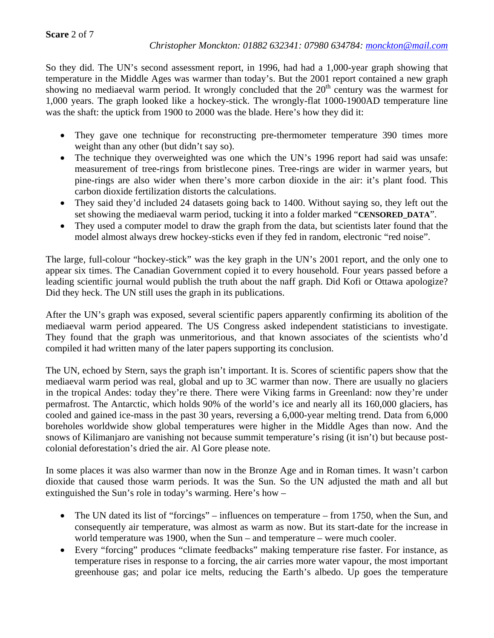So they did. The UN's second assessment report, in 1996, had had a 1,000-year graph showing that temperature in the Middle Ages was warmer than today's. But the 2001 report contained a new graph showing no mediaeval warm period. It wrongly concluded that the  $20<sup>th</sup>$  century was the warmest for 1,000 years. The graph looked like a hockey-stick. The wrongly-flat 1000-1900AD temperature line was the shaft: the uptick from 1900 to 2000 was the blade. Here's how they did it:

- They gave one technique for reconstructing pre-thermometer temperature 390 times more weight than any other (but didn't say so).
- The technique they overweighted was one which the UN's 1996 report had said was unsafe: measurement of tree-rings from bristlecone pines. Tree-rings are wider in warmer years, but pine-rings are also wider when there's more carbon dioxide in the air: it's plant food. This carbon dioxide fertilization distorts the calculations.
- They said they'd included 24 datasets going back to 1400. Without saying so, they left out the set showing the mediaeval warm period, tucking it into a folder marked "**CENSORED\_DATA**".
- They used a computer model to draw the graph from the data, but scientists later found that the model almost always drew hockey-sticks even if they fed in random, electronic "red noise".

The large, full-colour "hockey-stick" was the key graph in the UN's 2001 report, and the only one to appear six times. The Canadian Government copied it to every household. Four years passed before a leading scientific journal would publish the truth about the naff graph. Did Kofi or Ottawa apologize? Did they heck. The UN still uses the graph in its publications.

After the UN's graph was exposed, several scientific papers apparently confirming its abolition of the mediaeval warm period appeared. The US Congress asked independent statisticians to investigate. They found that the graph was unmeritorious, and that known associates of the scientists who'd compiled it had written many of the later papers supporting its conclusion.

The UN, echoed by Stern, says the graph isn't important. It is. Scores of scientific papers show that the mediaeval warm period was real, global and up to 3C warmer than now. There are usually no glaciers in the tropical Andes: today they're there. There were Viking farms in Greenland: now they're under permafrost. The Antarctic, which holds 90% of the world's ice and nearly all its 160,000 glaciers, has cooled and gained ice-mass in the past 30 years, reversing a 6,000-year melting trend. Data from 6,000 boreholes worldwide show global temperatures were higher in the Middle Ages than now. And the snows of Kilimanjaro are vanishing not because summit temperature's rising (it isn't) but because postcolonial deforestation's dried the air. Al Gore please note.

In some places it was also warmer than now in the Bronze Age and in Roman times. It wasn't carbon dioxide that caused those warm periods. It was the Sun. So the UN adjusted the math and all but extinguished the Sun's role in today's warming. Here's how –

- The UN dated its list of "forcings" influences on temperature from 1750, when the Sun, and consequently air temperature, was almost as warm as now. But its start-date for the increase in world temperature was 1900, when the Sun – and temperature – were much cooler.
- Every "forcing" produces "climate feedbacks" making temperature rise faster. For instance, as temperature rises in response to a forcing, the air carries more water vapour, the most important greenhouse gas; and polar ice melts, reducing the Earth's albedo. Up goes the temperature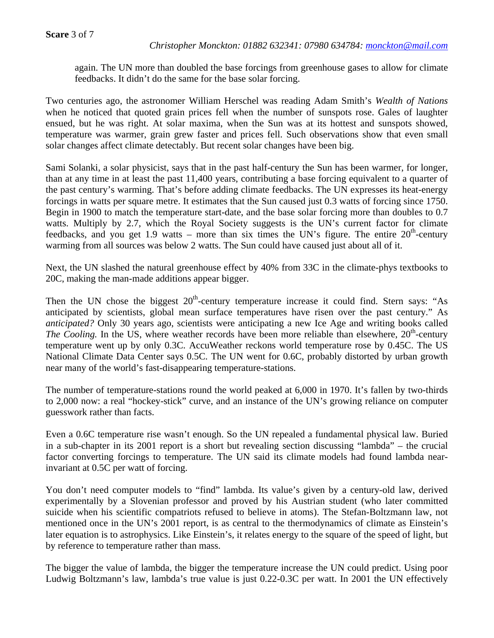# **Scare** 3 of 7

again. The UN more than doubled the base forcings from greenhouse gases to allow for climate feedbacks. It didn't do the same for the base solar forcing.

Two centuries ago, the astronomer William Herschel was reading Adam Smith's *Wealth of Nations*  when he noticed that quoted grain prices fell when the number of sunspots rose. Gales of laughter ensued, but he was right. At solar maxima, when the Sun was at its hottest and sunspots showed, temperature was warmer, grain grew faster and prices fell. Such observations show that even small solar changes affect climate detectably. But recent solar changes have been big.

Sami Solanki, a solar physicist, says that in the past half-century the Sun has been warmer, for longer, than at any time in at least the past 11,400 years, contributing a base forcing equivalent to a quarter of the past century's warming. That's before adding climate feedbacks. The UN expresses its heat-energy forcings in watts per square metre. It estimates that the Sun caused just 0.3 watts of forcing since 1750. Begin in 1900 to match the temperature start-date, and the base solar forcing more than doubles to 0.7 watts. Multiply by 2.7, which the Royal Society suggests is the UN's current factor for climate feedbacks, and you get 1.9 watts – more than six times the UN's figure. The entire  $20<sup>th</sup>$ -century warming from all sources was below 2 watts. The Sun could have caused just about all of it.

Next, the UN slashed the natural greenhouse effect by 40% from 33C in the climate-phys textbooks to 20C, making the man-made additions appear bigger.

Then the UN chose the biggest  $20<sup>th</sup>$ -century temperature increase it could find. Stern says: "As anticipated by scientists, global mean surface temperatures have risen over the past century." As *anticipated?* Only 30 years ago, scientists were anticipating a new Ice Age and writing books called *The Cooling.* In the US, where weather records have been more reliable than elsewhere, 20<sup>th</sup>-century temperature went up by only 0.3C. AccuWeather reckons world temperature rose by 0.45C. The US National Climate Data Center says 0.5C. The UN went for 0.6C, probably distorted by urban growth near many of the world's fast-disappearing temperature-stations.

The number of temperature-stations round the world peaked at 6,000 in 1970. It's fallen by two-thirds to 2,000 now: a real "hockey-stick" curve, and an instance of the UN's growing reliance on computer guesswork rather than facts.

Even a 0.6C temperature rise wasn't enough. So the UN repealed a fundamental physical law. Buried in a sub-chapter in its 2001 report is a short but revealing section discussing "lambda" – the crucial factor converting forcings to temperature. The UN said its climate models had found lambda nearinvariant at 0.5C per watt of forcing.

You don't need computer models to "find" lambda. Its value's given by a century-old law, derived experimentally by a Slovenian professor and proved by his Austrian student (who later committed suicide when his scientific compatriots refused to believe in atoms). The Stefan-Boltzmann law, not mentioned once in the UN's 2001 report, is as central to the thermodynamics of climate as Einstein's later equation is to astrophysics. Like Einstein's, it relates energy to the square of the speed of light, but by reference to temperature rather than mass.

The bigger the value of lambda, the bigger the temperature increase the UN could predict. Using poor Ludwig Boltzmann's law, lambda's true value is just 0.22-0.3C per watt. In 2001 the UN effectively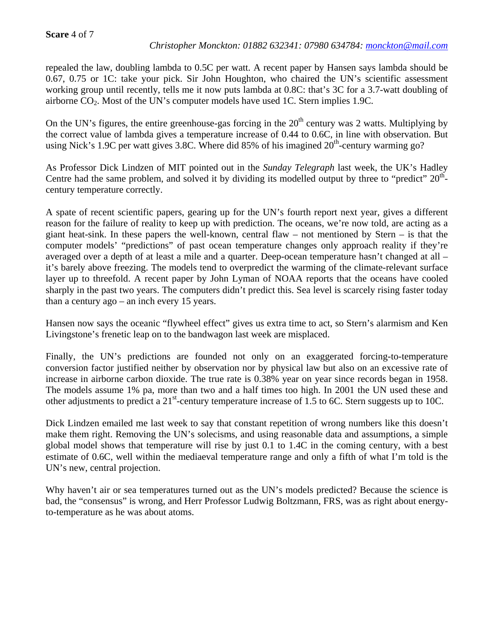# **Scare** 4 of 7

# *Christopher Monckton: 01882 632341: 07980 634784: monckton@mail.com*

repealed the law, doubling lambda to 0.5C per watt. A recent paper by Hansen says lambda should be 0.67, 0.75 or 1C: take your pick. Sir John Houghton, who chaired the UN's scientific assessment working group until recently, tells me it now puts lambda at 0.8C: that's 3C for a 3.7-watt doubling of airborne  $CO<sub>2</sub>$ . Most of the UN's computer models have used 1C. Stern implies 1.9C.

On the UN's figures, the entire greenhouse-gas forcing in the  $20<sup>th</sup>$  century was 2 watts. Multiplying by the correct value of lambda gives a temperature increase of 0.44 to 0.6C, in line with observation. But using Nick's 1.9C per watt gives 3.8C. Where did 85% of his imagined  $20<sup>th</sup>$ -century warming go?

As Professor Dick Lindzen of MIT pointed out in the *Sunday Telegraph* last week, the UK's Hadley Centre had the same problem, and solved it by dividing its modelled output by three to "predict"  $20<sup>th</sup>$ century temperature correctly.

A spate of recent scientific papers, gearing up for the UN's fourth report next year, gives a different reason for the failure of reality to keep up with prediction. The oceans, we're now told, are acting as a giant heat-sink. In these papers the well-known, central flaw – not mentioned by Stern – is that the computer models' "predictions" of past ocean temperature changes only approach reality if they're averaged over a depth of at least a mile and a quarter. Deep-ocean temperature hasn't changed at all – it's barely above freezing. The models tend to overpredict the warming of the climate-relevant surface layer up to threefold. A recent paper by John Lyman of NOAA reports that the oceans have cooled sharply in the past two years. The computers didn't predict this. Sea level is scarcely rising faster today than a century ago – an inch every 15 years.

Hansen now says the oceanic "flywheel effect" gives us extra time to act, so Stern's alarmism and Ken Livingstone's frenetic leap on to the bandwagon last week are misplaced.

Finally, the UN's predictions are founded not only on an exaggerated forcing-to-temperature conversion factor justified neither by observation nor by physical law but also on an excessive rate of increase in airborne carbon dioxide. The true rate is 0.38% year on year since records began in 1958. The models assume 1% pa, more than two and a half times too high. In 2001 the UN used these and other adjustments to predict a 21<sup>st</sup>-century temperature increase of 1.5 to 6C. Stern suggests up to 10C.

Dick Lindzen emailed me last week to say that constant repetition of wrong numbers like this doesn't make them right. Removing the UN's solecisms, and using reasonable data and assumptions, a simple global model shows that temperature will rise by just 0.1 to 1.4C in the coming century, with a best estimate of 0.6C, well within the mediaeval temperature range and only a fifth of what I'm told is the UN's new, central projection.

Why haven't air or sea temperatures turned out as the UN's models predicted? Because the science is bad, the "consensus" is wrong, and Herr Professor Ludwig Boltzmann, FRS, was as right about energyto-temperature as he was about atoms.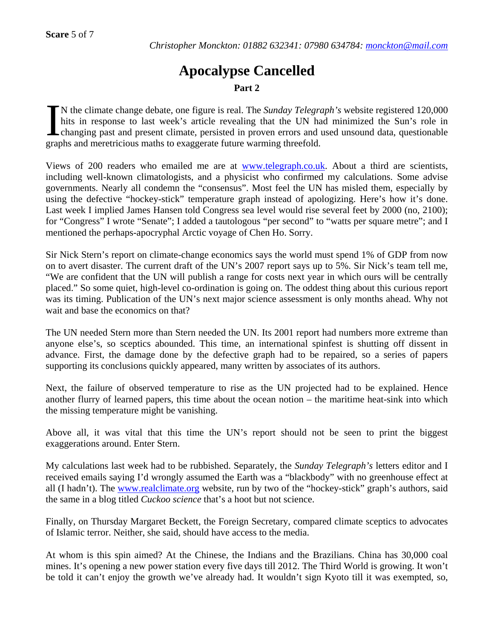# **Apocalypse Cancelled**

# **Part 2**

N the climate change debate, one figure is real. The *Sunday Telegraph's* website registered 120,000 hits in response to last week's article revealing that the UN had minimized the Sun's role in changing past and present climate, persisted in proven errors and used unsound data, questionable graphs and meretricious maths to exaggerate future warming threefold.  $\sum_{\text{ch}i}^{N}$ 

Views of 200 readers who emailed me are at www.telegraph.co.uk. About a third are scientists, including well-known climatologists, and a physicist who confirmed my calculations. Some advise governments. Nearly all condemn the "consensus". Most feel the UN has misled them, especially by using the defective "hockey-stick" temperature graph instead of apologizing. Here's how it's done. Last week I implied James Hansen told Congress sea level would rise several feet by 2000 (no, 2100); for "Congress" I wrote "Senate"; I added a tautologous "per second" to "watts per square metre"; and I mentioned the perhaps-apocryphal Arctic voyage of Chen Ho. Sorry.

Sir Nick Stern's report on climate-change economics says the world must spend 1% of GDP from now on to avert disaster. The current draft of the UN's 2007 report says up to 5%. Sir Nick's team tell me, "We are confident that the UN will publish a range for costs next year in which ours will be centrally placed." So some quiet, high-level co-ordination is going on. The oddest thing about this curious report was its timing. Publication of the UN's next major science assessment is only months ahead. Why not wait and base the economics on that?

The UN needed Stern more than Stern needed the UN. Its 2001 report had numbers more extreme than anyone else's, so sceptics abounded. This time, an international spinfest is shutting off dissent in advance. First, the damage done by the defective graph had to be repaired, so a series of papers supporting its conclusions quickly appeared, many written by associates of its authors.

Next, the failure of observed temperature to rise as the UN projected had to be explained. Hence another flurry of learned papers, this time about the ocean notion – the maritime heat-sink into which the missing temperature might be vanishing.

Above all, it was vital that this time the UN's report should not be seen to print the biggest exaggerations around. Enter Stern.

My calculations last week had to be rubbished. Separately, the *Sunday Telegraph's* letters editor and I received emails saying I'd wrongly assumed the Earth was a "blackbody" with no greenhouse effect at all (I hadn't). The www.realclimate.org website, run by two of the "hockey-stick" graph's authors, said the same in a blog titled *Cuckoo science* that's a hoot but not science.

Finally, on Thursday Margaret Beckett, the Foreign Secretary, compared climate sceptics to advocates of Islamic terror. Neither, she said, should have access to the media.

At whom is this spin aimed? At the Chinese, the Indians and the Brazilians. China has 30,000 coal mines. It's opening a new power station every five days till 2012. The Third World is growing. It won't be told it can't enjoy the growth we've already had. It wouldn't sign Kyoto till it was exempted, so,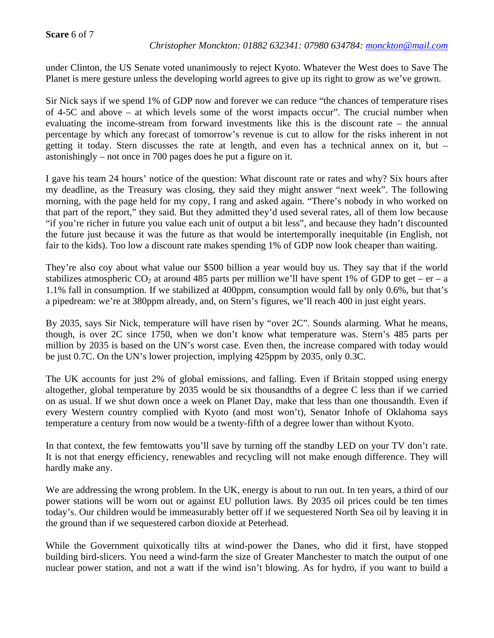#### **Scare** 6 of 7

#### *Christopher Monckton: 01882 632341: 07980 634784: monckton@mail.com*

under Clinton, the US Senate voted unanimously to reject Kyoto. Whatever the West does to Save The Planet is mere gesture unless the developing world agrees to give up its right to grow as we've grown.

Sir Nick says if we spend 1% of GDP now and forever we can reduce "the chances of temperature rises of 4-5C and above – at which levels some of the worst impacts occur". The crucial number when evaluating the income-stream from forward investments like this is the discount rate – the annual percentage by which any forecast of tomorrow's revenue is cut to allow for the risks inherent in not getting it today. Stern discusses the rate at length, and even has a technical annex on it, but – astonishingly – not once in 700 pages does he put a figure on it.

I gave his team 24 hours' notice of the question: What discount rate or rates and why? Six hours after my deadline, as the Treasury was closing, they said they might answer "next week". The following morning, with the page held for my copy, I rang and asked again. "There's nobody in who worked on that part of the report," they said. But they admitted they'd used several rates, all of them low because "if you're richer in future you value each unit of output a bit less", and because they hadn't discounted the future just because it was the future as that would be intertemporally inequitable (in English, not fair to the kids). Too low a discount rate makes spending 1% of GDP now look cheaper than waiting.

They're also coy about what value our \$500 billion a year would buy us. They say that if the world stabilizes atmospheric  $CO_2$  at around 485 parts per million we'll have spent 1% of GDP to get – er – a 1.1% fall in consumption. If we stabilized at 400ppm, consumption would fall by only 0.6%, but that's a pipedream: we're at 380ppm already, and, on Stern's figures, we'll reach 400 in just eight years.

By 2035, says Sir Nick, temperature will have risen by "over 2C". Sounds alarming. What he means, though, is over 2C since 1750, when we don't know what temperature was. Stern's 485 parts per million by 2035 is based on the UN's worst case. Even then, the increase compared with today would be just 0.7C. On the UN's lower projection, implying 425ppm by 2035, only 0.3C.

The UK accounts for just 2% of global emissions, and falling. Even if Britain stopped using energy altogether, global temperature by 2035 would be six thousandths of a degree C less than if we carried on as usual. If we shut down once a week on Planet Day, make that less than one thousandth. Even if every Western country complied with Kyoto (and most won't), Senator Inhofe of Oklahoma says temperature a century from now would be a twenty-fifth of a degree lower than without Kyoto.

In that context, the few femtowatts you'll save by turning off the standby LED on your TV don't rate. It is not that energy efficiency, renewables and recycling will not make enough difference. They will hardly make any.

We are addressing the wrong problem. In the UK, energy is about to run out. In ten years, a third of our power stations will be worn out or against EU pollution laws. By 2035 oil prices could be ten times today's. Our children would be immeasurably better off if we sequestered North Sea oil by leaving it in the ground than if we sequestered carbon dioxide at Peterhead.

While the Government quixotically tilts at wind-power the Danes, who did it first, have stopped building bird-slicers. You need a wind-farm the size of Greater Manchester to match the output of one nuclear power station, and not a watt if the wind isn't blowing. As for hydro, if you want to build a